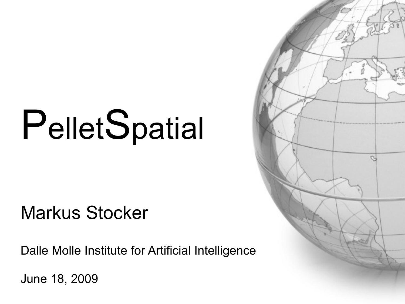# PelletSpatial

#### **Markus Stocker**

Dalle Molle Institute for Artificial Intelligence

June 18, 2009

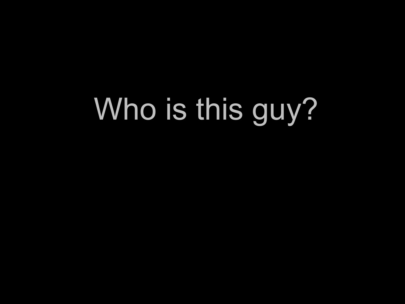## Who is this guy?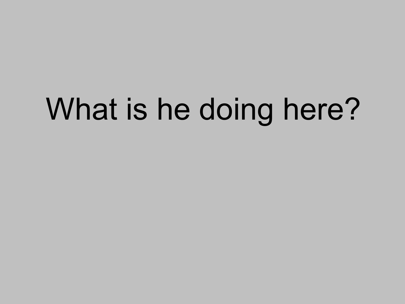## What is he doing here?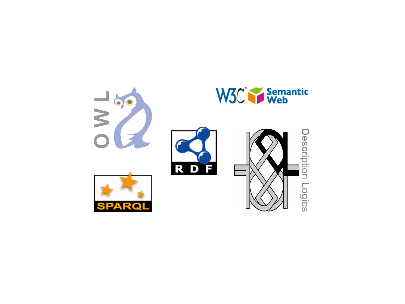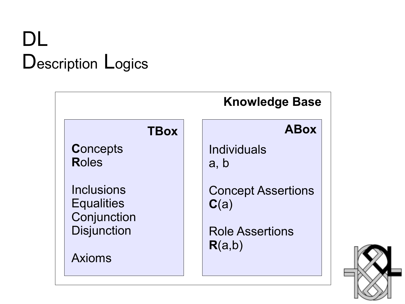## DL Description Logics



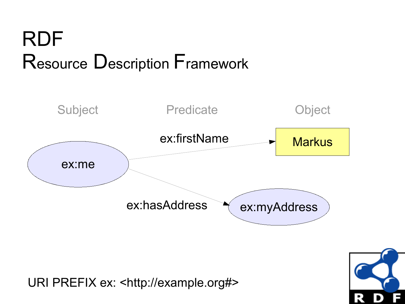## **RDF** Resource Description Framework



URI PREFIX ex: <http://example.org#>

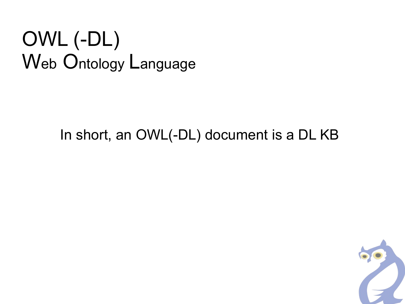## OWL (-DL) Web Ontology Language

#### In short, an OWL(-DL) document is a DL KB

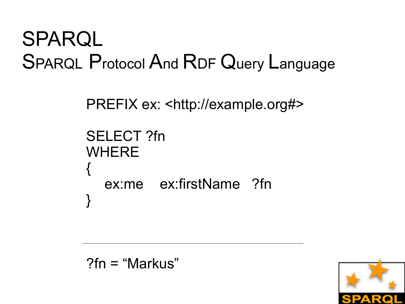## **SPARQL SPARQL Protocol And RDF Query Language**

```
PREFIX ex: <http://example.org#>
SELECT ?fn
WHERE
  ex:me ex:firstName ?fn
```
 $?fn = "Markus"$ 

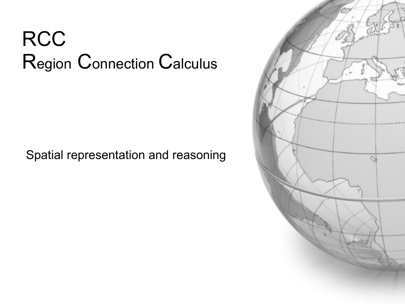## **RCC** Region Connection Calculus

#### Spatial representation and reasoning

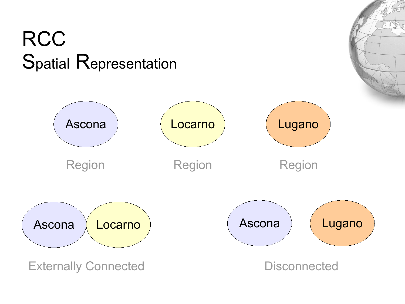#### **RCC** Spatial Representation

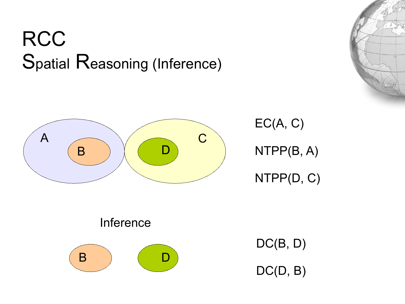#### **RCC** Spatial Reasoning (Inference)



EC(A, C) NTPP(B, A) NTPP(D, C)

Inference



DC(B, D) DC(D, B)

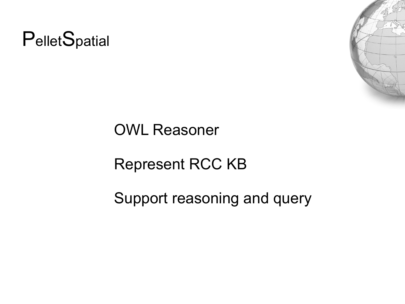



#### **OWL Reasoner**

#### **Represent RCC KB**

Support reasoning and query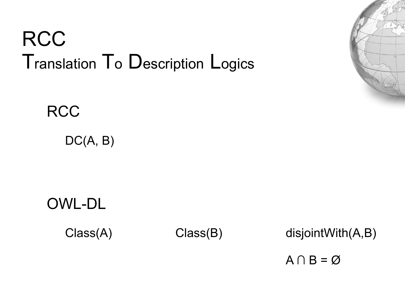## **RCC** Translation To Description Logics



 $DC(A, B)$ 



Class(A) Class(B)

disjointWith(A,B)

 $A \cap B = \emptyset$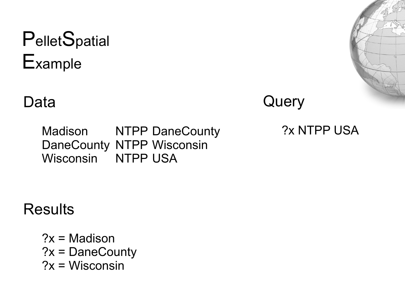### PelletSpatial Example

#### Data

Query

**NTPP DaneCounty** Madison DaneCounty NTPP Wisconsin Wisconsin NTPP USA

?x NTPP USA

**Results** 

 $?x = Madison$  $?x = DaneCountry$  $?x = Wisconsin$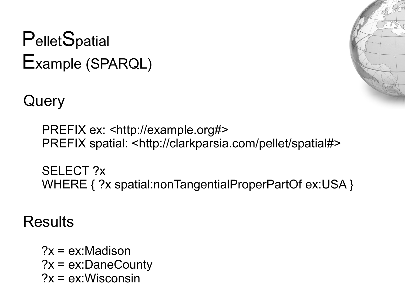#### PelletSpatial Example (SPARQL)

Query

PREFIX ex: <http://example.org#> PREFIX spatial: <http://clarkparsia.com/pellet/spatial#>

**SELECT?x** WHERE { ?x spatial:nonTangentialProperPartOf ex:USA }

**Results** 

 $?x = ex$ : Madison  $?x = ex:DaneCounty$  $?x = ex:Wisconsin$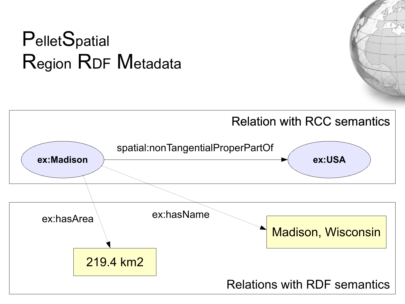#### PelletSpatial Region RDF Metadata

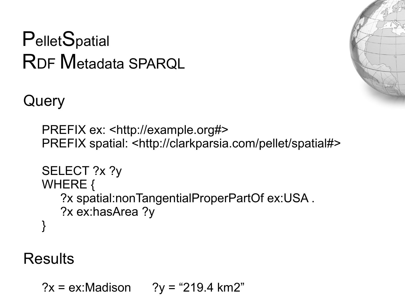## PelletSpatial **RDF Metadata SPAROL**



Query

```
PREFIX ex: <http://example.org#>
PREFIX spatial: <http://clarkparsia.com/pellet/spatial#>
```

```
SELECT ?x ?y
WHERE {
   ?x spatial:nonTangentialProperPartOf ex:USA.
   ?x ex:hasArea ?y
```
**Results** 

 $?x = ex$ :Madison "219.4 km2"